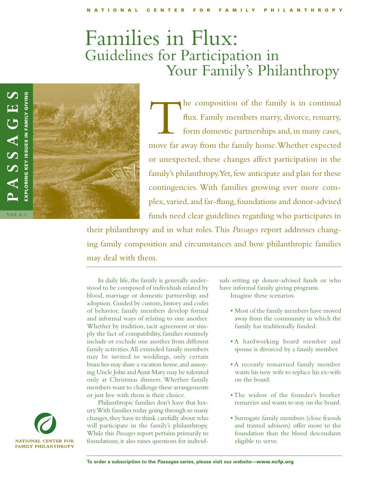# Families in Flux: Guidelines for Participation in Your Family's Philanthropy



the composition of the family is in continual flux. Family members marry, divorce, remarry, form domestic partnerships and, in many cases, move far away from the family home.Whether expected or unexpected, these changes affect participation in the family's philanthropy. Yet, few anticipate and plan for these contingencies. With families growing ever more complex, varied, and far-flung, foundations and donor-advised funds need clear guidelines regarding who participates in

their philanthropy and in what roles.This *Passages* report addresses changing family composition and circumstances and how philanthropic families may deal with them.

In daily life, the family is generally understood to be composed of individuals related by blood, marriage or domestic partnership, and adoption. Guided by custom, history and codes of behavior, family members develop formal and informal ways of relating to one another. Whether by tradition, tacit agreement or simply the fact of compatibility, families routinely include or exclude one another from different family activities.All extended family members may be invited to weddings, only certain branches may share a vacation home, and annoying Uncle John and Aunt Mary may be tolerated only at Christmas dinners. Whether family members want to challenge these arrangements or just live with them is their choice.

Philanthropic families don't have that luxury.With families today going through so many changes, they have to think carefully about who will participate in the family's philanthropy. While this *Passages* report pertains primarily to foundations, it also raises questions for individuals setting up donor-advised funds or who have informal family giving programs.

Imagine these scenarios:

- Most of the family members have moved away from the community in which the family has traditionally funded.
- A hardworking board member and spouse is divorced by a family member.
- A recently remarried family member wants his new wife to replace his ex-wife on the board.
- The widow of the founder's brother remarries and wants to stay on the board.
- Surrogate family members (close friends and trusted advisors) offer more to the foundation than the blood descendants eligible to serve.

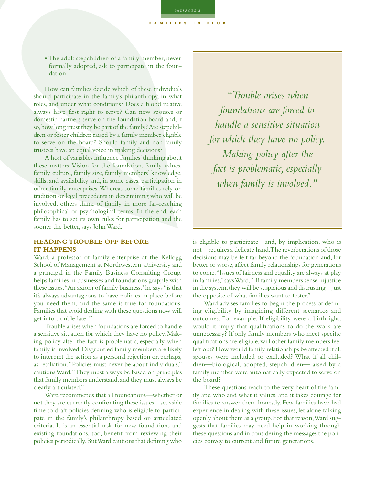PASSAGES 2

FAMILIES IN FLUX

• The adult stepchildren of a family member, never formally adopted, ask to participate in the foundation.

How can families decide which of these individuals should participate in the family's philanthropy, in what roles, and under what conditions? Does a blood relative always have first right to serve? Can new spouses or domestic partners serve on the foundation board and, if so,how long must they be part of the family? Are stepchildren or foster children raised by a family member eligible to serve on the board? Should family and non-family trustees have an equal voice in making decisions?

A host of variables influence families'thinking about these matters: Vision for the foundation, family values, family culture, family size, family members' knowledge, skills, and availability and, in some cases, participation in other family enterprises.Whereas some families rely on tradition or legal precedents in determining who will be involved, others think of family in more far-reaching philosophical or psychological terms. In the end, each family has to set its own rules for participation and the sooner the better, says John Ward.

# **HEADING TROUBLE OFF BEFORE IT HAPPENS**

Ward, a professor of family enterprise at the Kellogg School of Management at Northwestern University and a principal in the Family Business Consulting Group, helps families in businesses and foundations grapple with these issues."An axiom of family business,"he says "is that it's always advantageous to have policies in place before you need them, and the same is true for foundations. Families that avoid dealing with these questions now will get into trouble later."

Trouble arises when foundations are forced to handle a sensitive situation for which they have no policy. Making policy after the fact is problematic, especially when family is involved. Disgruntled family members are likely to interpret the action as a personal rejection or, perhaps, as retaliation."Policies must never be about individuals," cautions Ward."They must always be based on principles that family members understand,and they must always be clearly articulated."

Ward recommends that all foundations—whether or not they are currently confronting these issues—set aside time to draft policies defining who is eligible to participate in the family's philanthropy based on articulated criteria. It is an essential task for new foundations and existing foundations, too, benefit from reviewing their policies periodically.But Ward cautions that defining who

*"Trouble arises when foundations are forced to handle a sensitive situation for which they have no policy. Making policy after the fact is problematic, especially when family is involved."*

is eligible to participate—and, by implication, who is not—requires a delicate hand.The reverberations of those decisions may be felt far beyond the foundation and, for better or worse, affect family relationships for generations to come."Issues of fairness and equality are always at play in families,"says Ward," If family members sense injustice in the system, they will be suspicious and distrusting—just the opposite of what families want to foster."

Ward advises families to begin the process of defining eligibility by imagining different scenarios and outcomes. For example: If eligibility were a birthright, would it imply that qualifications to do the work are unnecessary? If only family members who meet specific qualifications are eligible,will other family members feel left out? How would family relationships be affected if all spouses were included or excluded? What if all children—biological, adopted, stepchildren—raised by a family member were automatically expected to serve on the board?

These questions reach to the very heart of the family and who and what it values, and it takes courage for families to answer them honestly. Few families have had experience in dealing with these issues, let alone talking openly about them as a group.For that reason,Ward suggests that families may need help in working through these questions and in considering the messages the policies convey to current and future generations.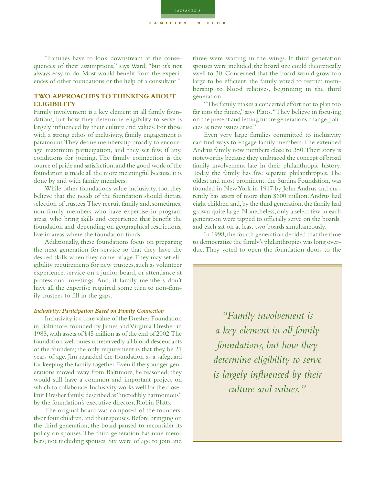"Families have to look downstream at the consequences of their assumptions," says Ward, "but it's not always easy to do. Most would benefit from the experiences of other foundations or the help of a consultant."

# **TWO APPROACHES TO THINKING ABOUT ELIGIBILITY**

Family involvement is a key element in all family foundations, but how they determine eligibility to serve is largely influenced by their culture and values. For those with a strong ethos of inclusivity, family engagement is paramount.They define membership broadly to encourage maximum participation, and they set few, if any, conditions for joining. The family connection is the source of pride and satisfaction, and the good work of the foundation is made all the more meaningful because it is done by and with family members.

While other foundations value inclusivity, too, they believe that the needs of the foundation should dictate selection of trustees.They recruit family and, sometimes, non-family members who have expertise in program areas, who bring skills and experience that benefit the foundation and, depending on geographical restrictions, live in areas where the foundation funds.

Additionally, these foundations focus on preparing the next generation for service so that they have the desired skills when they come of age.They may set eligibility requirements for new trustees, such as volunteer experience, service on a junior board, or attendance at professional meetings. And, if family members don't have all the expertise required, some turn to non-family trustees to fill in the gaps.

## *Inclusivity: Participation Based on Family Connection*

Inclusivity is a core value of the Dresher Foundation in Baltimore, founded by James and Virginia Dresher in 1988,with assets of \$45 million as of the end of 2002.The foundation welcomes unreservedly all blood descendants of the founders; the only requirement is that they be 21 years of age. Jim regarded the foundation as a safeguard for keeping the family together.Even if the younger generations moved away from Baltimore, he reasoned, they would still have a common and important project on which to collaborate.Inclusivity works well for the closeknit Dresher family, described as "incredibly harmonious" by the foundation's executive director, Robin Platts.

The original board was composed of the founders, their four children, and their spouses. Before bringing on the third generation, the board paused to reconsider its policy on spouses.The third generation has nine members, not including spouses. Six were of age to join and

three were waiting in the wings. If third generation spouses were included, the board size could theoretically swell to 30. Concerned that the board would grow too large to be efficient, the family voted to restrict membership to blood relatives, beginning in the third generation.

"The family makes a concerted effort not to plan too far into the future," says Platts."They believe in focusing on the present and letting future generations change policies as new issues arise."

Even very large families committed to inclusivity can find ways to engage family members.The extended Andrus family now numbers close to 350.Their story is noteworthy because they embraced the concept of broad family involvement late in their philanthropic history. Today, the family has five separate philanthropies. The oldest and most prominent, the Surdna Foundation, was founded in New York in 1917 by John Andrus and currently has assets of more than \$600 million.Andrus had eight children and, by the third generation, the family had grown quite large. Nonetheless, only a select few in each generation were tapped to officially serve on the boards, and each sat on at least two boards simultaneously.

In 1998, the fourth generation decided that the time to democratize the family's philanthropies was long overdue. They voted to open the foundation doors to the

> *"Family involvement is a key element in all family foundations, but how they determine eligibility to serve is largely influenced by their culture and values."*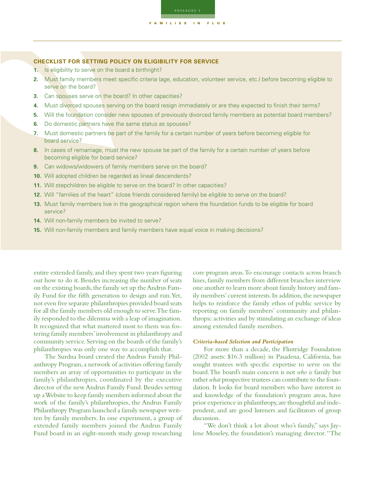

- **1.** Is eligibility to serve on the board a birthright?
- **2.** Must family members meet specific criteria (age, education, volunteer service, etc.) before becoming eligible to serve on the board?
- **3.** Can spouses serve on the board? In other capacities?
- **4.** Must divorced spouses serving on the board resign immediately or are they expected to finish their terms?
- **5.** Will the foundation consider new spouses of previously divorced family members as potential board members?
- **6.** Do domestic partners have the same status as spouses?
- **7.** Must domestic partners be part of the family for a certain number of years before becoming eligible for board service?
- **8.** In cases of remarriage, must the new spouse be part of the family for a certain number of years before becoming eligible for board service?
- **9.** Can widows/widowers of family members serve on the board?
- **10.** Will adopted children be regarded as lineal descendents?
- **11.** Will stepchildren be eligible to serve on the board? In other capacities?
- **12.** Will "families of the heart" (close friends considered family) be eligible to serve on the board?
- **13.** Must family members live in the geographical region where the foundation funds to be eligible for board service?
- **14.** Will non-family members be invited to serve?
- **15.** Will non-family members and family members have equal voice in making decisions?

entire extended family,and they spent two years figuring out how to do it. Besides increasing the number of seats on the existing boards, the family set up the Andrus Family Fund for the fifth generation to design and run.Yet, not even five separate philanthropies provided board seats for all the family members old enough to serve.The family responded to the dilemma with a leap of imagination. It recognized that what mattered most to them was fostering family members'involvement in philanthropy and community service.Serving on the boards of the family's philanthropies was only one way to accomplish that.

The Surdna board created the Andrus Family Philanthropy Program, a network of activities offering family members an array of opportunities to participate in the family's philanthropies, coordinated by the executive director of the new Andrus Family Fund. Besides setting up a Website to keep family members informed about the work of the family's philanthropies, the Andrus Family Philanthropy Program launched a family newspaper written by family members. In one experiment, a group of extended family members joined the Andrus Family Fund board in an eight-month study group researching core program areas.To encourage contacts across branch lines, family members from different branches interview one another to learn more about family history and family members' current interests. In addition, the newspaper helps to reinforce the family ethos of public service by reporting on family members' community and philanthropic activities and by stimulating an exchange of ideas among extended family members.

# *Criteria-based Selection and Participation*

For more than a decade, the Flintridge Foundation (2002 assets: \$16.3 million) in Pasadena, California, has sought trustees with specific expertise to serve on the board.The board's main concern is not *who is* family but rather *what* prospective trustees can contribute to the foundation. It looks for board members who have interest in and knowledge of the foundation's program areas, have prior experience in philanthropy,are thoughtful and independent, and are good listeners and facilitators of group discussion.

"We don't think a lot about who's family," says Jaylene Moseley, the foundation's managing director."The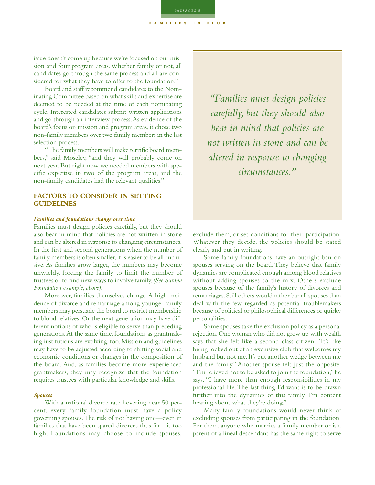PASSAGES 5

FAMILIES IN FLUX

Board and staff recommend candidates to the Nominating Committee based on what skills and expertise are deemed to be needed at the time of each nominating cycle. Interested candidates submit written applications and go through an interview process.As evidence of the board's focus on mission and program areas, it chose two non-family members over two family members in the last selection process.

"The family members will make terrific board members," said Moseley, "and they will probably come on next year. But right now we needed members with specific expertise in two of the program areas, and the non-family candidates had the relevant qualities."

# **FACTORS TO CONSIDER IN SETTING GUIDELINES**

# *Families and foundations change over time*

Families must design policies carefully, but they should also bear in mind that policies are not written in stone and can be altered in response to changing circumstances. In the first and second generations when the number of family members is often smaller, it is easier to be all-inclusive. As families grow larger, the numbers may become unwieldy, forcing the family to limit the number of trustees or to find new ways to involve family.*(See Surdna Foundation example, above).*

Moreover, families themselves change. A high incidence of divorce and remarriage among younger family members may persuade the board to restrict membership to blood relatives. Or the next generation may have different notions of who is eligible to serve than preceding generations.At the same time, foundations as grantmaking institutions are evolving, too. Mission and guidelines may have to be adjusted according to shifting social and economic conditions or changes in the composition of the board. And, as families become more experienced grantmakers, they may recognize that the foundation requires trustees with particular knowledge and skills.

## *Spouses*

With a national divorce rate hovering near 50 percent, every family foundation must have a policy governing spouses.The risk of not having one—even in families that have been spared divorces thus far—is too high. Foundations may choose to include spouses,

*"Families must design policies carefully, but they should also bear in mind that policies are not written in stone and can be altered in response to changing circumstances."*

exclude them, or set conditions for their participation. Whatever they decide, the policies should be stated clearly and put in writing.

Some family foundations have an outright ban on spouses serving on the board. They believe that family dynamics are complicated enough among blood relatives without adding spouses to the mix. Others exclude spouses because of the family's history of divorces and remarriages.Still others would rather bar all spouses than deal with the few regarded as potential troublemakers because of political or philosophical differences or quirky personalities.

Some spouses take the exclusion policy as a personal rejection.One woman who did not grow up with wealth says that she felt like a second class-citizen. "It's like being locked out of an exclusive club that welcomes my husband but not me.It's put another wedge between me and the family." Another spouse felt just the opposite. "I'm relieved not to be asked to join the foundation,"he says. "I have more than enough responsibilities in my professional life.The last thing I'd want is to be drawn further into the dynamics of this family. I'm content hearing about what they're doing."

Many family foundations would never think of excluding spouses from participating in the foundation. For them, anyone who marries a family member or is a parent of a lineal descendant has the same right to serve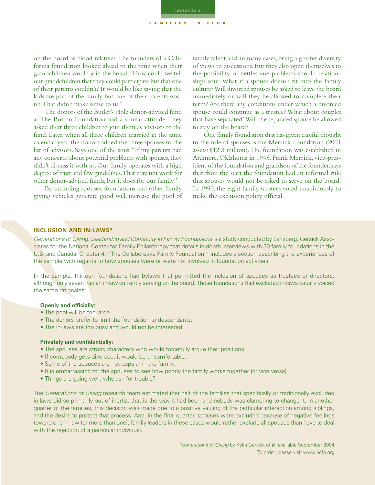PASSAGES 6

FAMILIES IN FLUX

on the board as blood relatives.The founders of a California foundation looked ahead to the time when their grandchildren would join the board."How could we tell our grandchildren that they could participate but that one of their parents couldn't? It would be like saying that the kids are part of the family but one of their parents wasn't.That didn't make sense to us."

The donors of the Butler's Hole donor-advised fund at The Boston Foundation had a similar attitude. They asked their three children to join them as advisors to the fund. Later, when all three children married in the same calendar year, the donors added the three spouses to the list of advisors. Says one of the sons,"If my parents had any concerns about potential problems with spouses, they didn't discuss it with us. Our family operates with a high degree of trust and few guidelines.That may not work for other donor-advised funds, but it does for our family."

By including spouses, foundations and other family giving vehicles generate good will, increase the pool of family talent and, in many cases, bring a greater diversity of views to discussions. But they also open themselves to the possibility of nettlesome problems should relationships sour. What if a spouse doesn't fit into the family culture? Will divorced spouses be asked to leave the board immediately or will they be allowed to complete their term? Are there any conditions under which a divorced spouse could continue as a trustee? What about couples that have separated? Will the separated spouse be allowed to stay on the board?

One family foundation that has given careful thought to the role of spouses is the Merrick Foundation (2001 assets: \$12.3 million).The foundation was established in Ardmore, Oklahoma in 1948. Frank Merrick, vice-president of the foundation and grandson of the founder, says that from the start the foundation had an informal rule that spouses would not be asked to serve on the board. In 1990, the eight family trustees voted unanimously to make the exclusion policy official.

# **INCLUSION AND IN-LAWS\***

Generations of Giving: Leadership and Continuity in Family Foundations is a study conducted by Lansberg, Gersick Associates for the National Center for Family Philanthropy that details in-depth interviews with 30 family foundations in the U.S. and Canada. Chapter 4, "The Collaborative Family Foundation," includes a section describing the experiences of the sample with regards to how spouses were or were not involved in foundation activities.

In the sample, thirteen foundations had bylaws that permitted the inclusion of spouses as trustees or directors, although only seven had an in-law currently serving on the board. Those foundations that excluded in-laws usually voiced the same rationales:

### **Openly and officially:**

- The pool will be too large
- The donors prefer to limit the foundation to descendants.
- The in-laws are too busy and would not be interested.

# **Privately and confidentially:**

- The spouses are strong characters who would forcefully argue their positions.
- If somebody gets divorced, it would be uncomfortable.
- Some of the spouses are not popular in the family.
- It is embarrassing for the spouses to see how poorly the family works together (or vice versa)
- Things are going well; why ask for trouble?

The Generations of Giving research team estimated that half of the families that specifically or traditionally excluded in-laws did so primarily out of inertia: that is the way it had been and nobody was clamoring to change it. In another quarter of the families, this decision was made due to a positive valuing of the particular interaction among siblings, and the desire to protect that process. And, in the final quarter, spouses were excluded because of negative feelings toward one in-law (or more than one); family leaders in these cases would rather exclude all spouses than have to deal with the rejection of a particular individual.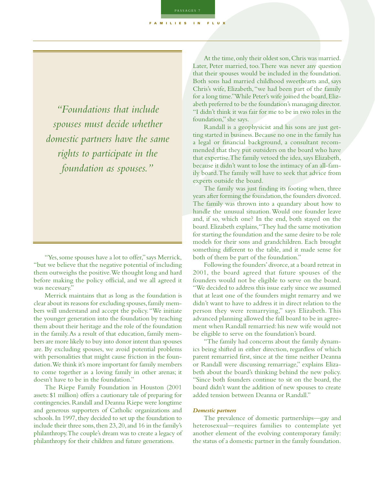*"Foundations that include spouses must decide whether domestic partners have the same rights to participate in the foundation as spouses."*

"Yes, some spouses have a lot to offer," says Merrick, "but we believe that the negative potential of including them outweighs the positive.We thought long and hard before making the policy official, and we all agreed it was necessary."

Merrick maintains that as long as the foundation is clear about its reasons for excluding spouses,family members will understand and accept the policy."We initiate the younger generation into the foundation by teaching them about their heritage and the role of the foundation in the family.As a result of that education, family members are more likely to buy into donor intent than spouses are. By excluding spouses, we avoid potential problems with personalities that might cause friction in the foundation.We think it's more important for family members to come together as a loving family in other arenas; it doesn't have to be in the foundation."

The Riepe Family Foundation in Houston (2001 assets: \$1 million) offers a cautionary tale of preparing for contingencies. Randall and Deanna Riepe were longtime and generous supporters of Catholic organizations and schools. In 1997, they decided to set up the foundation to include their three sons, then 23, 20, and 16 in the family's philanthropy.The couple's dream was to create a legacy of philanthropy for their children and future generations.

At the time, only their oldest son, Chris was married. Later, Peter married, too.There was never any question that their spouses would be included in the foundation. Both sons had married childhood sweethearts and, says Chris's wife, Elizabeth,"we had been part of the family for a long time."While Peter's wife joined the board,Elizabeth preferred to be the foundation's managing director. "I didn't think it was fair for me to be in two roles in the foundation," she says.

Randall is a geophysicist and his sons are just getting started in business.Because no one in the family has a legal or financial background, a consultant recommended that they put outsiders on the board who have that expertise.The family vetoed the idea,says Elizabeth, because it didn't want to lose the intimacy of an all-family board.The family will have to seek that advice from experts outside the board.

The family was just finding its footing when, three years after forming the foundation, the founders divorced. The family was thrown into a quandary about how to handle the unusual situation. Would one founder leave and, if so, which one? In the end, both stayed on the board.Elizabeth explains,"They had the same motivation for starting the foundation and the same desire to be role models for their sons and grandchildren. Each brought something different to the table, and it made sense for both of them be part of the foundation."

Following the founders'divorce,at a board retreat in 2001, the board agreed that future spouses of the founders would not be eligible to serve on the board. "We decided to address this issue early since we assumed that at least one of the founders might remarry and we didn't want to have to address it in direct relation to the person they were remarrying," says Elizabeth. This advanced planning allowed the full board to be in agreement when Randall remarried: his new wife would not be eligible to serve on the foundation's board.

"The family had concerns about the family dynamics being shifted in either direction, regardless of which parent remarried first, since at the time neither Deanna or Randall were discussing remarriage," explains Elizabeth about the board's thinking behind the new policy. "Since both founders continue to sit on the board, the board didn't want the addition of new spouses to create added tension between Deanna or Randall."

# *Domestic partners*

The prevalence of domestic partnerships—gay and heterosexual—requires families to contemplate yet another element of the evolving contemporary family: the status of a domestic partner in the family foundation.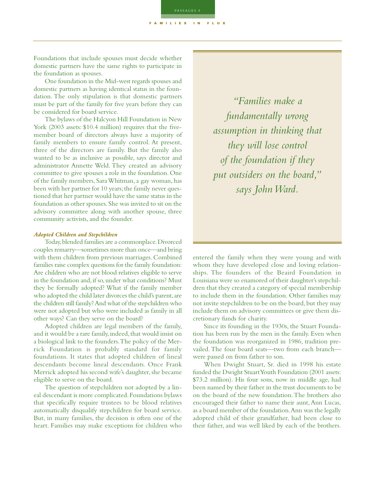PASSAGES 8 FAMILIES IN FLUX

Foundations that include spouses must decide whether domestic partners have the same rights to participate in the foundation as spouses.

One foundation in the Mid-west regards spouses and domestic partners as having identical status in the foundation. The only stipulation is that domestic partners must be part of the family for five years before they can be considered for board service.

The bylaws of the Halcyon Hill Foundation in New York (2003 assets: \$10.4 million) requires that the fivemember board of directors always have a majority of family members to ensure family control. At present, three of the directors are family. But the family also wanted to be as inclusive as possible, says director and administrator Annette Weld. They created an advisory committee to give spouses a role in the foundation. One of the family members, Sara Whitman, a gay woman, has been with her partner for 10 years; the family never questioned that her partner would have the same status in the foundation as other spouses.She was invited to sit on the advisory committee along with another spouse, three community activists, and the founder.

### *Adopted Children and Stepchildren*

Today,blended families are a commonplace.Divorced couples remarry—sometimes more than once—and bring with them children from previous marriages. Combined families raise complex questions for the family foundation: Are children who are not blood relatives eligible to serve in the foundation and, if so, under what conditions? Must they be formally adopted? What if the family member who adopted the child later divorces the child's parent, are the children still family? And what of the stepchildren who were not adopted but who were included as family in all other ways? Can they serve on the board?

Adopted children are legal members of the family, and it would be a rare family, indeed, that would insist on a biological link to the founders.The policy of the Merrick Foundation is probably standard for family foundations. It states that adopted children of lineal descendants become lineal descendants. Once Frank Merrick adopted his second wife's daughter, she became eligible to serve on the board.

The question of stepchildren not adopted by a lineal descendant is more complicated.Foundations bylaws that specifically require trustees to be blood relatives automatically disqualify stepchildren for board service. But, in many families, the decision is often one of the heart. Families may make exceptions for children who

*"Families make a fundamentally wrong assumption in thinking that they will lose control of the foundation if they put outsiders on the board," says John Ward.*

entered the family when they were young and with whom they have developed close and loving relationships. The founders of the Beaird Foundation in Louisiana were so enamored of their daughter's stepchildren that they created a category of special membership to include them in the foundation. Other families may not invite stepchildren to be on the board, but they may include them on advisory committees or give them discretionary funds for charity.

Since its founding in the 1930s, the Stuart Foundation has been run by the men in the family. Even when the foundation was reorganized in 1986, tradition prevailed. The four board seats—two from each branch were passed on from father to son.

When Dwight Stuart, Sr. died in 1998 his estate funded the Dwight Stuart Youth Foundation (2001 assets: \$73.2 million). His four sons, now in middle age, had been named by their father in the trust documents to be on the board of the new foundation.The brothers also encouraged their father to name their aunt,Ann Lucas, as a board member of the foundation.Ann was the legally adopted child of their grandfather, had been close to their father, and was well liked by each of the brothers.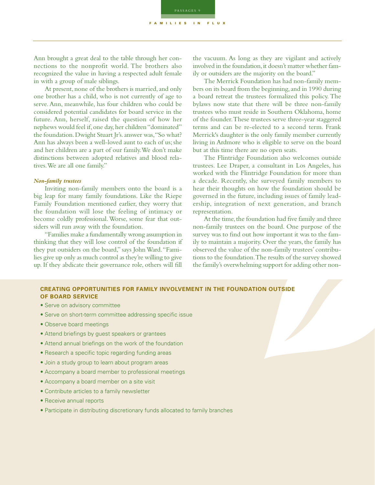Ann brought a great deal to the table through her connections to the nonprofit world. The brothers also recognized the value in having a respected adult female in with a group of male siblings.

At present, none of the brothers is married, and only one brother has a child, who is not currently of age to serve. Ann, meanwhile, has four children who could be considered potential candidates for board service in the future. Ann, herself, raised the question of how her nephews would feel if, one day, her children "dominated" the foundation. Dwight Stuart Jr's. answer was, "So what? Ann has always been a well-loved aunt to each of us; she and her children are a part of our family.We don't make distinctions between adopted relatives and blood relatives.We are all one family."

# *Non-family trustees*

Inviting non-family members onto the board is a big leap for many family foundations. Like the Riepe Family Foundation mentioned earlier, they worry that the foundation will lose the feeling of intimacy or become coldly professional.Worse, some fear that outsiders will run away with the foundation.

"Families make a fundamentally wrong assumption in thinking that they will lose control of the foundation if they put outsiders on the board," says John Ward."Families give up only as much control as they're willing to give up. If they abdicate their governance role, others will fill

the vacuum. As long as they are vigilant and actively involved in the foundation, it doesn't matter whether family or outsiders are the majority on the board."

The Merrick Foundation has had non-family members on its board from the beginning, and in 1990 during a board retreat the trustees formalized this policy. The bylaws now state that there will be three non-family trustees who must reside in Southern Oklahoma, home of the founder.These trustees serve three-year staggered terms and can be re-elected to a second term. Frank Merrick's daughter is the only family member currently living in Ardmore who is eligible to serve on the board but at this time there are no open seats.

The Flintridge Foundation also welcomes outside trustees. Lee Draper, a consultant in Los Angeles, has worked with the Flintridge Foundation for more than a decade. Recently, she surveyed family members to hear their thoughts on how the foundation should be governed in the future, including issues of family leadership, integration of next generation, and branch representation.

At the time, the foundation had five family and three non-family trustees on the board. One purpose of the survey was to find out how important it was to the family to maintain a majority. Over the years, the family has observed the value of the non-family trustees' contributions to the foundation.The results of the survey showed the family's overwhelming support for adding other non-

# **CREATING OPPORTUNITIES FOR FAMILY INVOLVEMENT IN THE FOUNDATION OUTSIDE OF BOARD SERVICE**

PASSAGES 9

FAMILIES IN FLUX

- Serve on advisory committee
- Serve on short-term committee addressing specific issue
- Observe board meetings
- Attend briefings by guest speakers or grantees
- Attend annual briefings on the work of the foundation
- Research a specific topic regarding funding areas
- Join a study group to learn about program areas
- Accompany a board member to professional meetings
- Accompany a board member on a site visit
- Contribute articles to a family newsletter
- Receive annual reports
- Participate in distributing discretionary funds allocated to family branches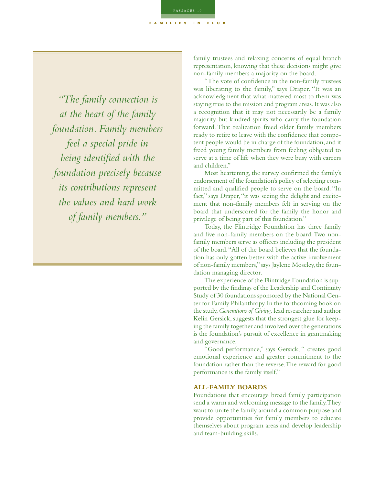*"The family connection is at the heart of the family foundation. Family members feel a special pride in being identified with the foundation precisely because its contributions represent the values and hard work of family members."*

family trustees and relaxing concerns of equal branch representation, knowing that these decisions might give non-family members a majority on the board.

"The vote of confidence in the non-family trustees was liberating to the family," says Draper. "It was an acknowledgment that what mattered most to them was staying true to the mission and program areas. It was also a recognition that it may not necessarily be a family majority but kindred spirits who carry the foundation forward. That realization freed older family members ready to retire to leave with the confidence that competent people would be in charge of the foundation, and it freed young family members from feeling obligated to serve at a time of life when they were busy with careers and children."

Most heartening, the survey confirmed the family's endorsement of the foundation's policy of selecting committed and qualified people to serve on the board. "In fact," says Draper, "it was seeing the delight and excitement that non-family members felt in serving on the board that underscored for the family the honor and privilege of being part of this foundation."

Today, the Flintridge Foundation has three family and five non-family members on the board.Two nonfamily members serve as officers including the president of the board."All of the board believes that the foundation has only gotten better with the active involvement of non-family members,"says Jaylene Moseley,the foundation managing director.

The experience of the Flintridge Foundation is supported by the findings of the Leadership and Continuity Study of 30 foundations sponsored by the National Center for Family Philanthropy.In the forthcoming book on the study,*Generations of Giving,* lead researcher and author Kelin Gersick, suggests that the strongest glue for keeping the family together and involved over the generations is the foundation's pursuit of excellence in grantmaking and governance.

"Good performance," says Gersick, " creates good emotional experience and greater commitment to the foundation rather than the reverse.The reward for good performance is the family itself."

# **ALL-FAMILY BOARDS**

Foundations that encourage broad family participation send a warm and welcoming message to the family.They want to unite the family around a common purpose and provide opportunities for family members to educate themselves about program areas and develop leadership and team-building skills.

FAMILIES IN FLUX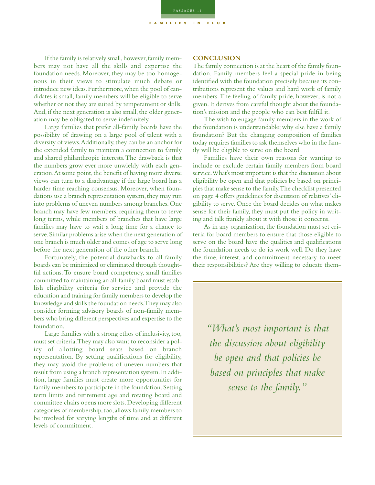If the family is relatively small, however, family members may not have all the skills and expertise the foundation needs. Moreover, they may be too homogenous in their views to stimulate much debate or introduce new ideas.Furthermore,when the pool of candidates is small, family members will be eligible to serve whether or not they are suited by temperament or skills. And, if the next generation is also small, the older generation may be obligated to serve indefinitely.

Large families that prefer all-family boards have the possibility of drawing on a large pool of talent with a diversity of views.Additionally,they can be an anchor for the extended family to maintain a connection to family and shared philanthropic interests.The drawback is that the numbers grow ever more unwieldy with each generation. At some point, the benefit of having more diverse views can turn to a disadvantage if the large board has a harder time reaching consensus. Moreover, when foundations use a branch representation system, they may run into problems of uneven numbers among branches. One branch may have few members, requiring them to serve long terms, while members of branches that have large families may have to wait a long time for a chance to serve.Similar problems arise when the next generation of one branch is much older and comes of age to serve long before the next generation of the other branch.

Fortunately, the potential drawbacks to all-family boards can be minimized or eliminated through thoughtful actions. To ensure board competency, small families committed to maintaining an all-family board must establish eligibility criteria for service and provide the education and training for family members to develop the knowledge and skills the foundation needs.They may also consider forming advisory boards of non-family members who bring different perspectives and expertise to the foundation.

Large families with a strong ethos of inclusivity, too, must set criteria.They may also want to reconsider a policy of allotting board seats based on branch representation. By setting qualifications for eligibility, they may avoid the problems of uneven numbers that result from using a branch representation system.In addition, large families must create more opportunities for family members to participate in the foundation. Setting term limits and retirement age and rotating board and committee chairs opens more slots. Developing different categories of membership,too,allows family members to be involved for varying lengths of time and at different levels of commitment.

### **CONCLUSION**

The family connection is at the heart of the family foundation. Family members feel a special pride in being identified with the foundation precisely because its contributions represent the values and hard work of family members.The feeling of family pride, however, is not a given. It derives from careful thought about the foundation's mission and the people who can best fulfill it.

The wish to engage family members in the work of the foundation is understandable; why else have a family foundation? But the changing composition of families today requires families to ask themselves who in the family will be eligible to serve on the board.

Families have their own reasons for wanting to include or exclude certain family members from board service.What's most important is that the discussion about eligibility be open and that policies be based on principles that make sense to the family.The checklist presented on page 4 offers guidelines for discussion of relatives'eligibility to serve. Once the board decides on what makes sense for their family, they must put the policy in writing and talk frankly about it with those it concerns.

As in any organization, the foundation must set criteria for board members to ensure that those eligible to serve on the board have the qualities and qualifications the foundation needs to do its work well. Do they have the time, interest, and commitment necessary to meet their responsibilities? Are they willing to educate them-

*"What's most important is that the discussion about eligibility be open and that policies be based on principles that make sense to the family."*